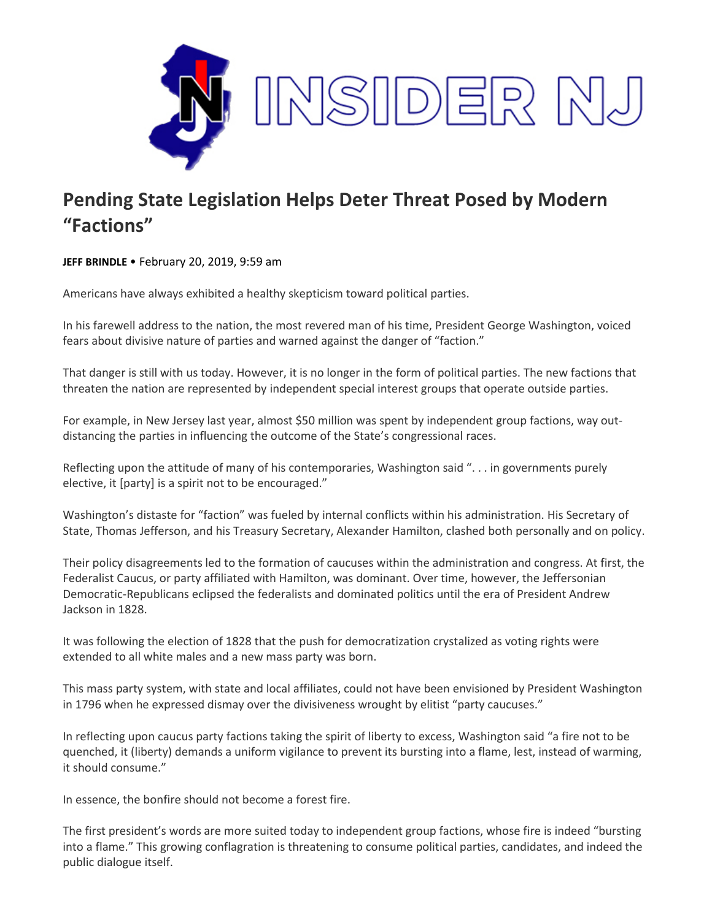

## **Pending State Legislation Helps Deter Threat Posed by Modern "Factions"**

**JEFF BRINDLE** • February 20, 2019, 9:59 am

Americans have always exhibited a healthy skepticism toward political parties.

In his farewell address to the nation, the most revered man of his time, President George Washington, voiced fears about divisive nature of parties and warned against the danger of "faction."

That danger is still with us today. However, it is no longer in the form of political parties. The new factions that threaten the nation are represented by independent special interest groups that operate outside parties.

For example, in New Jersey last year, almost \$50 million was spent by independent group factions, way outdistancing the parties in influencing the outcome of the State's congressional races.

Reflecting upon the attitude of many of his contemporaries, Washington said ". . . in governments purely elective, it [party] is a spirit not to be encouraged."

Washington's distaste for "faction" was fueled by internal conflicts within his administration. His Secretary of State, Thomas Jefferson, and his Treasury Secretary, Alexander Hamilton, clashed both personally and on policy.

Their policy disagreements led to the formation of caucuses within the administration and congress. At first, the Federalist Caucus, or party affiliated with Hamilton, was dominant. Over time, however, the Jeffersonian Democratic-Republicans eclipsed the federalists and dominated politics until the era of President Andrew Jackson in 1828.

It was following the election of 1828 that the push for democratization crystalized as voting rights were extended to all white males and a new mass party was born.

This mass party system, with state and local affiliates, could not have been envisioned by President Washington in 1796 when he expressed dismay over the divisiveness wrought by elitist "party caucuses."

In reflecting upon caucus party factions taking the spirit of liberty to excess, Washington said "a fire not to be quenched, it (liberty) demands a uniform vigilance to prevent its bursting into a flame, lest, instead of warming, it should consume."

In essence, the bonfire should not become a forest fire.

The first president's words are more suited today to independent group factions, whose fire is indeed "bursting into a flame." This growing conflagration is threatening to consume political parties, candidates, and indeed the public dialogue itself.